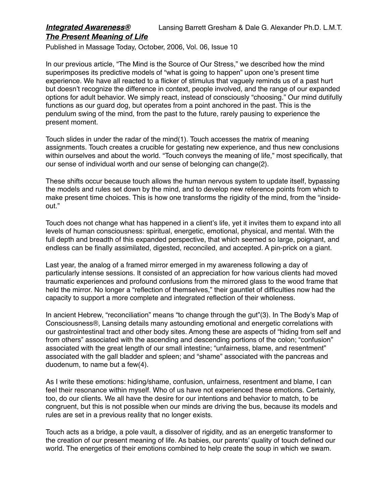## *Integrated Awareness®* Lansing Barrett Gresham & Dale G. Alexander Ph.D. L.M.T. *The Present Meaning of Life*

Published in Massage Today, October, 2006, Vol. 06, Issue 10

In our previous article, "The Mind is the Source of Our Stress," we described how the mind superimposes its predictive models of "what is going to happen" upon one's present time experience. We have all reacted to a flicker of stimulus that vaguely reminds us of a past hurt but doesn't recognize the difference in context, people involved, and the range of our expanded options for adult behavior. We simply react, instead of consciously "choosing." Our mind dutifully functions as our guard dog, but operates from a point anchored in the past. This is the pendulum swing of the mind, from the past to the future, rarely pausing to experience the present moment.

Touch slides in under the radar of the mind(1). Touch accesses the matrix of meaning assignments. Touch creates a crucible for gestating new experience, and thus new conclusions within ourselves and about the world. "Touch conveys the meaning of life," most specifically, that our sense of individual worth and our sense of belonging can change(2).

These shifts occur because touch allows the human nervous system to update itself, bypassing the models and rules set down by the mind, and to develop new reference points from which to make present time choices. This is how one transforms the rigidity of the mind, from the "insideout."

Touch does not change what has happened in a client's life, yet it invites them to expand into all levels of human consciousness: spiritual, energetic, emotional, physical, and mental. With the full depth and breadth of this expanded perspective, that which seemed so large, poignant, and endless can be finally assimilated, digested, reconciled, and accepted. A pin-prick on a giant.

Last year, the analog of a framed mirror emerged in my awareness following a day of particularly intense sessions. It consisted of an appreciation for how various clients had moved traumatic experiences and profound confusions from the mirrored glass to the wood frame that held the mirror. No longer a "reflection of themselves," their gauntlet of difficulties now had the capacity to support a more complete and integrated reflection of their wholeness.

In ancient Hebrew, "reconciliation" means "to change through the gut"(3). In The Body's Map of Consciousness®, Lansing details many astounding emotional and energetic correlations with our gastrointestinal tract and other body sites. Among these are aspects of "hiding from self and from others" associated with the ascending and descending portions of the colon; "confusion" associated with the great length of our small intestine; "unfairness, blame, and resentment" associated with the gall bladder and spleen; and "shame" associated with the pancreas and duodenum, to name but a few(4).

As I write these emotions: hiding/shame, confusion, unfairness, resentment and blame, I can feel their resonance within myself. Who of us have not experienced these emotions. Certainly, too, do our clients. We all have the desire for our intentions and behavior to match, to be congruent, but this is not possible when our minds are driving the bus, because its models and rules are set in a previous reality that no longer exists.

Touch acts as a bridge, a pole vault, a dissolver of rigidity, and as an energetic transformer to the creation of our present meaning of life. As babies, our parents' quality of touch defined our world. The energetics of their emotions combined to help create the soup in which we swam.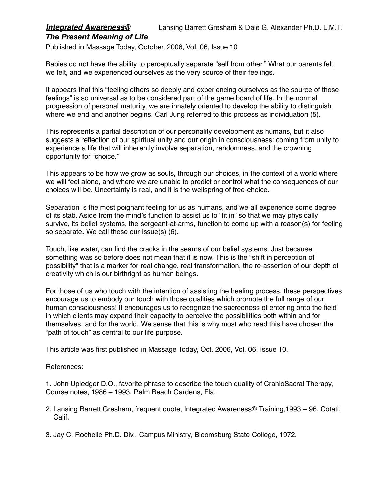## *Integrated Awareness®* Lansing Barrett Gresham & Dale G. Alexander Ph.D. L.M.T. *The Present Meaning of Life*

Published in Massage Today, October, 2006, Vol. 06, Issue 10

Babies do not have the ability to perceptually separate "self from other." What our parents felt, we felt, and we experienced ourselves as the very source of their feelings.

It appears that this "feeling others so deeply and experiencing ourselves as the source of those feelings" is so universal as to be considered part of the game board of life. In the normal progression of personal maturity, we are innately oriented to develop the ability to distinguish where we end and another begins. Carl Jung referred to this process as individuation (5).

This represents a partial description of our personality development as humans, but it also suggests a reflection of our spiritual unity and our origin in consciousness: coming from unity to experience a life that will inherently involve separation, randomness, and the crowning opportunity for "choice."

This appears to be how we grow as souls, through our choices, in the context of a world where we will feel alone, and where we are unable to predict or control what the consequences of our choices will be. Uncertainty is real, and it is the wellspring of free-choice.

Separation is the most poignant feeling for us as humans, and we all experience some degree of its stab. Aside from the mind's function to assist us to "fit in" so that we may physically survive, its belief systems, the sergeant-at-arms, function to come up with a reason(s) for feeling so separate. We call these our issue(s) (6).

Touch, like water, can find the cracks in the seams of our belief systems. Just because something was so before does not mean that it is now. This is the "shift in perception of possibility" that is a marker for real change, real transformation, the re-assertion of our depth of creativity which is our birthright as human beings.

For those of us who touch with the intention of assisting the healing process, these perspectives encourage us to embody our touch with those qualities which promote the full range of our human consciousness! It encourages us to recognize the sacredness of entering onto the field in which clients may expand their capacity to perceive the possibilities both within and for themselves, and for the world. We sense that this is why most who read this have chosen the "path of touch" as central to our life purpose.

This article was first published in Massage Today, Oct. 2006, Vol. 06, Issue 10.

## References:

1. John Upledger D.O., favorite phrase to describe the touch quality of CranioSacral Therapy, Course notes, 1986 – 1993, Palm Beach Gardens, Fla.

- 2. Lansing Barrett Gresham, frequent quote, Integrated Awareness® Training,1993 96, Cotati, Calif.
- 3. Jay C. Rochelle Ph.D. Div., Campus Ministry, Bloomsburg State College, 1972.